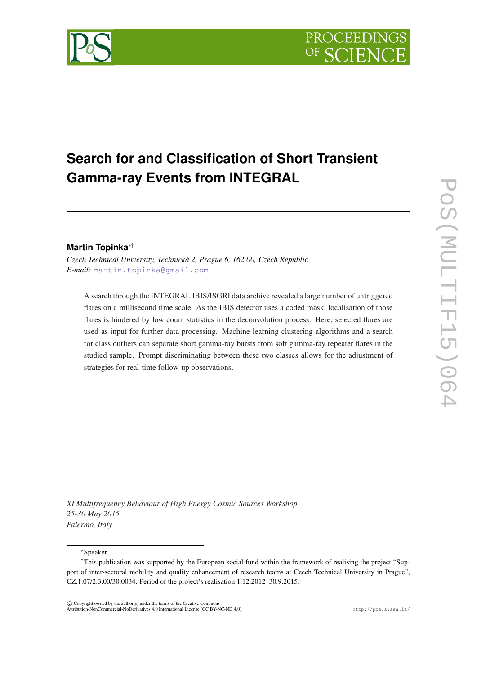# **Search for and Classification of Short Transient Gamma-ray Events from INTEGRAL**

# **Martin Topinka**∗†

*Czech Technical University, Technická 2, Prague 6, 162 00, Czech Republic E-mail:* [martin.topinka@gmail.com](mailto:martin.topinka@gmail.com)

A search through the INTEGRAL IBIS/ISGRI data archive revealed a large number of untriggered flares on a millisecond time scale. As the IBIS detector uses a coded mask, localisation of those flares is hindered by low count statistics in the deconvolution process. Here, selected flares are used as input for further data processing. Machine learning clustering algorithms and a search for class outliers can separate short gamma-ray bursts from soft gamma-ray repeater flares in the studied sample. Prompt discriminating between these two classes allows for the adjustment of strategies for real-time follow-up observations.

*XI Multifrequency Behaviour of High Energy Cosmic Sources Workshop 25-30 May 2015 Palermo, Italy*

<sup>∗</sup>Speaker.

<sup>†</sup>This publication was supported by the European social fund within the framework of realising the project "Support of inter-sectoral mobility and quality enhancement of research teams at Czech Technical University in Prague", CZ.1.07/2.3.00/30.0034. Period of the project's realisation 1.12.2012–30.9.2015.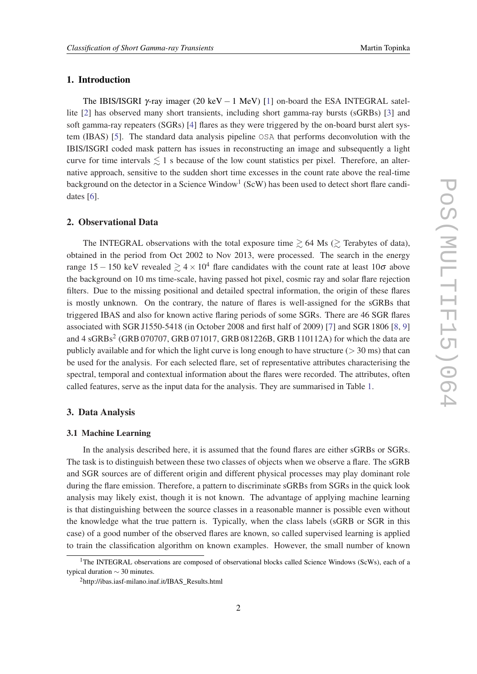# 1. Introduction

The IBIS/ISGRI  $\gamma$ -ray imager (20 keV – 1 MeV) [\[1\]](#page-7-0) on-board the ESA INTEGRAL satellite [[2](#page-7-0)] has observed many short transients, including short gamma-ray bursts (sGRBs) [\[3\]](#page-7-0) and soft gamma-ray repeaters (SGRs) [[4](#page-7-0)] flares as they were triggered by the on-board burst alert system (IBAS) [[5](#page-7-0)]. The standard data analysis pipeline OSA that performs deconvolution with the IBIS/ISGRI coded mask pattern has issues in reconstructing an image and subsequently a light curve for time intervals  $\leq 1$  s because of the low count statistics per pixel. Therefore, an alternative approach, sensitive to the sudden short time excesses in the count rate above the real-time background on the detector in a Science Window<sup>1</sup> (ScW) has been used to detect short flare candi-dates [\[6\]](#page-7-0).

#### 2. Observational Data

The INTEGRAL observations with the total exposure time  $\gtrsim$  64 Ms ( $\gtrsim$  Terabytes of data), obtained in the period from Oct 2002 to Nov 2013, were processed. The search in the energy range 15 − 150 keV revealed  $\geq 4 \times 10^4$  flare candidates with the count rate at least 10 $\sigma$  above the background on 10 ms time-scale, having passed hot pixel, cosmic ray and solar flare rejection filters. Due to the missing positional and detailed spectral information, the origin of these flares is mostly unknown. On the contrary, the nature of flares is well-assigned for the sGRBs that triggered IBAS and also for known active flaring periods of some SGRs. There are 46 SGR flares associated with SGR J1550-5418 (in October 2008 and first half of 2009) [\[7\]](#page-7-0) and SGR 1806 [[8](#page-7-0), [9](#page-7-0)] and 4 sGRBs<sup>2</sup> (GRB 070707, GRB 071017, GRB 081226B, GRB 110112A) for which the data are publicly available and for which the light curve is long enough to have structure ( $>$  30 ms) that can be used for the analysis. For each selected flare, set of representative attributes characterising the spectral, temporal and contextual information about the flares were recorded. The attributes, often called features, serve as the input data for the analysis. They are summarised in Table [1](#page-2-0).

#### 3. Data Analysis

#### 3.1 Machine Learning

In the analysis described here, it is assumed that the found flares are either sGRBs or SGRs. The task is to distinguish between these two classes of objects when we observe a flare. The sGRB and SGR sources are of different origin and different physical processes may play dominant role during the flare emission. Therefore, a pattern to discriminate sGRBs from SGRs in the quick look analysis may likely exist, though it is not known. The advantage of applying machine learning is that distinguishing between the source classes in a reasonable manner is possible even without the knowledge what the true pattern is. Typically, when the class labels (sGRB or SGR in this case) of a good number of the observed flares are known, so called supervised learning is applied to train the classification algorithm on known examples. However, the small number of known

<sup>&</sup>lt;sup>1</sup>The INTEGRAL observations are composed of observational blocks called Science Windows (ScWs), each of a typical duration ∼ 30 minutes.

<sup>2</sup>http://ibas.iasf-milano.inaf.it/IBAS\_Results.html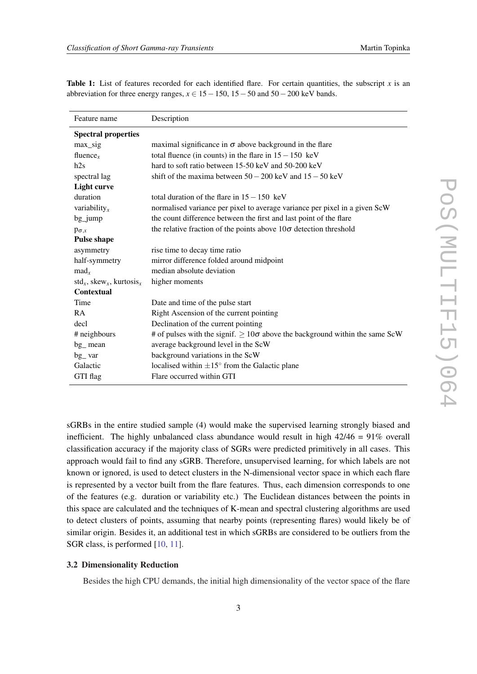| Feature name                                        | Description                                                                           |
|-----------------------------------------------------|---------------------------------------------------------------------------------------|
| <b>Spectral properties</b>                          |                                                                                       |
| $max\_sig$                                          | maximal significance in $\sigma$ above background in the flare                        |
| fluence <sub>x</sub>                                | total fluence (in counts) in the flare in $15 - 150$ keV                              |
| h2s                                                 | hard to soft ratio between 15-50 keV and 50-200 keV                                   |
| spectral lag                                        | shift of the maxima between $50 - 200$ keV and $15 - 50$ keV                          |
| <b>Light curve</b>                                  |                                                                                       |
| duration                                            | total duration of the flare in $15 - 150$ keV                                         |
| variability $x$                                     | normalised variance per pixel to average variance per pixel in a given ScW            |
| $bg$ _jump                                          | the count difference between the first and last point of the flare                    |
| $p_{\sigma,x}$                                      | the relative fraction of the points above $10\sigma$ detection threshold              |
| <b>Pulse shape</b>                                  |                                                                                       |
| asymmetry                                           | rise time to decay time ratio                                                         |
| half-symmetry                                       | mirror difference folded around midpoint                                              |
| $\text{mad}_x$                                      | median absolute deviation                                                             |
| $std_x$ , skew <sub>x</sub> , kurtosis <sub>x</sub> | higher moments                                                                        |
| <b>Contextual</b>                                   |                                                                                       |
| Time                                                | Date and time of the pulse start                                                      |
| RA                                                  | Right Ascension of the current pointing                                               |
| decl                                                | Declination of the current pointing                                                   |
| # neighbours                                        | # of pulses with the signif. $\geq 10\sigma$ above the background within the same ScW |
| $bg$ mean                                           | average background level in the ScW                                                   |
| bg_var                                              | background variations in the ScW                                                      |
| Galactic                                            | localised within $\pm 15^{\circ}$ from the Galactic plane                             |
| GTI flag                                            | Flare occurred within GTI                                                             |

<span id="page-2-0"></span>**Table 1:** List of features recorded for each identified flare. For certain quantities, the subscript  $x$  is an abbreviation for three energy ranges,  $x \in 15-150$ ,  $15-50$  and  $50-200$  keV bands.

sGRBs in the entire studied sample (4) would make the supervised learning strongly biased and inefficient. The highly unbalanced class abundance would result in high  $42/46 = 91\%$  overall classification accuracy if the majority class of SGRs were predicted primitively in all cases. This approach would fail to find any sGRB. Therefore, unsupervised learning, for which labels are not known or ignored, is used to detect clusters in the N-dimensional vector space in which each flare is represented by a vector built from the flare features. Thus, each dimension corresponds to one of the features (e.g. duration or variability etc.) The Euclidean distances between the points in this space are calculated and the techniques of K-mean and spectral clustering algorithms are used to detect clusters of points, assuming that nearby points (representing flares) would likely be of similar origin. Besides it, an additional test in which sGRBs are considered to be outliers from the SGR class, is performed [[10,](#page-7-0) [11](#page-7-0)].

# 3.2 Dimensionality Reduction

Besides the high CPU demands, the initial high dimensionality of the vector space of the flare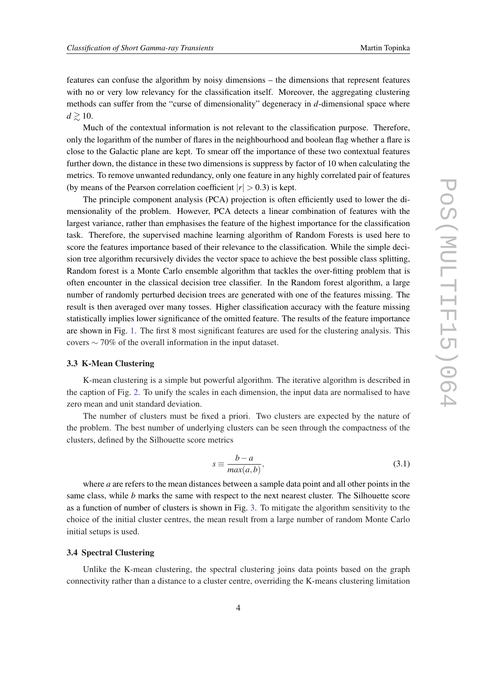features can confuse the algorithm by noisy dimensions – the dimensions that represent features with no or very low relevancy for the classification itself. Moreover, the aggregating clustering methods can suffer from the "curse of dimensionality" degeneracy in *d*-dimensional space where  $d \ge 10$ .

Much of the contextual information is not relevant to the classification purpose. Therefore, only the logarithm of the number of flares in the neighbourhood and boolean flag whether a flare is close to the Galactic plane are kept. To smear off the importance of these two contextual features further down, the distance in these two dimensions is suppress by factor of 10 when calculating the metrics. To remove unwanted redundancy, only one feature in any highly correlated pair of features (by means of the Pearson correlation coefficient  $|r| > 0.3$ ) is kept.

The principle component analysis (PCA) projection is often efficiently used to lower the dimensionality of the problem. However, PCA detects a linear combination of features with the largest variance, rather than emphasises the feature of the highest importance for the classification task. Therefore, the supervised machine learning algorithm of Random Forests is used here to score the features importance based of their relevance to the classification. While the simple decision tree algorithm recursively divides the vector space to achieve the best possible class splitting, Random forest is a Monte Carlo ensemble algorithm that tackles the over-fitting problem that is often encounter in the classical decision tree classifier. In the Random forest algorithm, a large number of randomly perturbed decision trees are generated with one of the features missing. The result is then averaged over many tosses. Higher classification accuracy with the feature missing statistically implies lower significance of the omitted feature. The results of the feature importance are shown in Fig. [1.](#page-4-0) The first 8 most significant features are used for the clustering analysis. This covers ∼ 70% of the overall information in the input dataset.

## 3.3 K-Mean Clustering

K-mean clustering is a simple but powerful algorithm. The iterative algorithm is described in the caption of Fig. [2](#page-4-0). To unify the scales in each dimension, the input data are normalised to have zero mean and unit standard deviation.

The number of clusters must be fixed a priori. Two clusters are expected by the nature of the problem. The best number of underlying clusters can be seen through the compactness of the clusters, defined by the Silhouette score metrics

$$
s \equiv \frac{b-a}{\max(a,b)},\tag{3.1}
$$

where *a* are refers to the mean distances between a sample data point and all other points in the same class, while *b* marks the same with respect to the next nearest cluster. The Silhouette score as a function of number of clusters is shown in Fig. [3](#page-5-0). To mitigate the algorithm sensitivity to the choice of the initial cluster centres, the mean result from a large number of random Monte Carlo initial setups is used.

### 3.4 Spectral Clustering

Unlike the K-mean clustering, the spectral clustering joins data points based on the graph connectivity rather than a distance to a cluster centre, overriding the K-means clustering limitation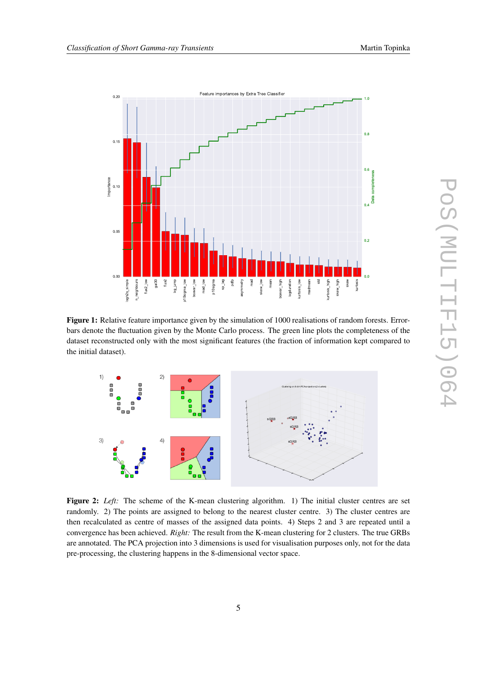<span id="page-4-0"></span>

Figure 1: Relative feature importance given by the simulation of 1000 realisations of random forests. Errorbars denote the fluctuation given by the Monte Carlo process. The green line plots the completeness of the dataset reconstructed only with the most significant features (the fraction of information kept compared to the initial dataset).



Figure 2: Left: The scheme of the K-mean clustering algorithm. 1) The initial cluster centres are set randomly. 2) The points are assigned to belong to the nearest cluster centre. 3) The cluster centres are then recalculated as centre of masses of the assigned data points. 4) Steps 2 and 3 are repeated until a convergence has been achieved. *Right:* The result from the K-mean clustering for 2 clusters. The true GRBs are annotated. The PCA projection into 3 dimensions is used for visualisation purposes only, not for the data pre-processing, the clustering happens in the 8-dimensional vector space.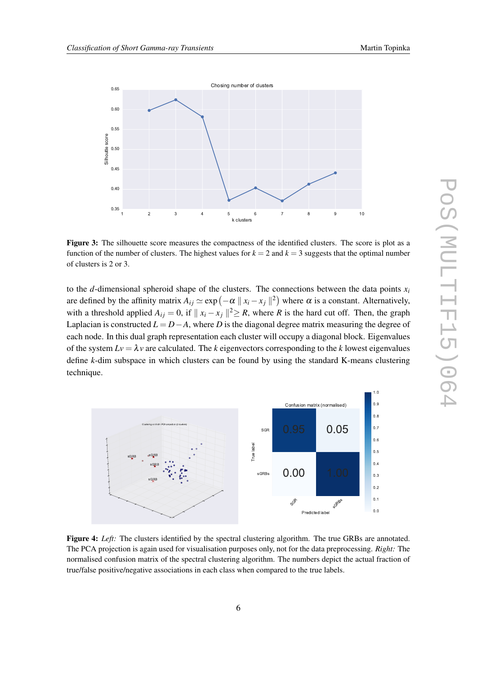<span id="page-5-0"></span>

Figure 3: The silhouette score measures the compactness of the identified clusters. The score is plot as a function of the number of clusters. The highest values for  $k = 2$  and  $k = 3$  suggests that the optimal number of clusters is 2 or 3.

to the *d*-dimensional spheroid shape of the clusters. The connections between the data points  $x_i$ are defined by the affinity matrix  $A_{ij} \simeq \exp(-\alpha \parallel x_i - x_j \parallel^2)$  where  $\alpha$  is a constant. Alternatively, with a threshold applied  $A_{ij} = 0$ , if  $||x_i - x_j||^2 \ge R$ , where *R* is the hard cut off. Then, the graph Laplacian is constructed  $L = D - A$ , where *D* is the diagonal degree matrix measuring the degree of each node. In this dual graph representation each cluster will occupy a diagonal block. Eigenvalues of the system  $Lv = \lambda v$  are calculated. The *k* eigenvectors corresponding to the *k* lowest eigenvalues define *k*-dim subspace in which clusters can be found by using the standard K-means clustering technique.



Figure 4: *Left:* The clusters identified by the spectral clustering algorithm. The true GRBs are annotated. The PCA projection is again used for visualisation purposes only, not for the data preprocessing. *Right:* The normalised confusion matrix of the spectral clustering algorithm. The numbers depict the actual fraction of true/false positive/negative associations in each class when compared to the true labels.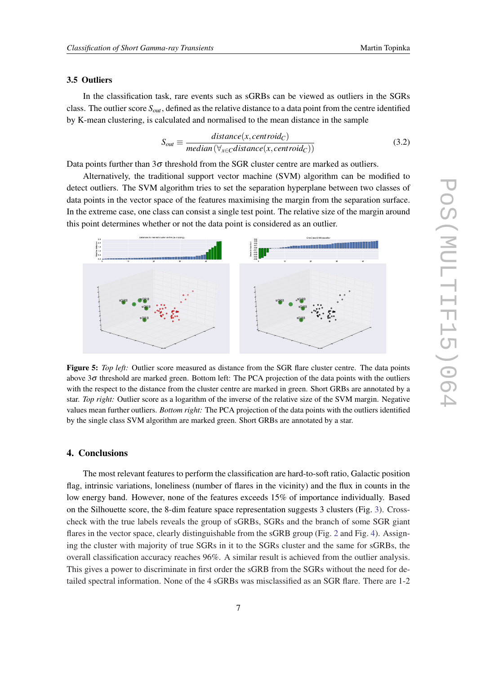### 3.5 Outliers

In the classification task, rare events such as sGRBs can be viewed as outliers in the SGRs class. The outlier score *Sout*, defined as the relative distance to a data point from the centre identified by K-mean clustering, is calculated and normalised to the mean distance in the sample

$$
S_{out} \equiv \frac{distance(x, centroid_C)}{median(\forall_{x \in C} distinctance(x, centroid_C))}
$$
(3.2)

Data points further than  $3\sigma$  threshold from the SGR cluster centre are marked as outliers.

Alternatively, the traditional support vector machine (SVM) algorithm can be modified to detect outliers. The SVM algorithm tries to set the separation hyperplane between two classes of data points in the vector space of the features maximising the margin from the separation surface. In the extreme case, one class can consist a single test point. The relative size of the margin around this point determines whether or not the data point is considered as an outlier.



Figure 5: *Top left:* Outlier score measured as distance from the SGR flare cluster centre. The data points above  $3\sigma$  threshold are marked green. Bottom left: The PCA projection of the data points with the outliers with the respect to the distance from the cluster centre are marked in green. Short GRBs are annotated by a star. *Top right:* Outlier score as a logarithm of the inverse of the relative size of the SVM margin. Negative values mean further outliers. *Bottom right:* The PCA projection of the data points with the outliers identified by the single class SVM algorithm are marked green. Short GRBs are annotated by a star.

# 4. Conclusions

The most relevant features to perform the classification are hard-to-soft ratio, Galactic position flag, intrinsic variations, loneliness (number of flares in the vicinity) and the flux in counts in the low energy band. However, none of the features exceeds 15% of importance individually. Based on the Silhouette score, the 8-dim feature space representation suggests 3 clusters (Fig. [3](#page-5-0)). Crosscheck with the true labels reveals the group of sGRBs, SGRs and the branch of some SGR giant flares in the vector space, clearly distinguishable from the sGRB group (Fig. [2](#page-4-0) and Fig. [4](#page-5-0)). Assigning the cluster with majority of true SGRs in it to the SGRs cluster and the same for sGRBs, the overall classification accuracy reaches 96%. A similar result is achieved from the outlier analysis. This gives a power to discriminate in first order the sGRB from the SGRs without the need for detailed spectral information. None of the 4 sGRBs was misclassified as an SGR flare. There are 1-2